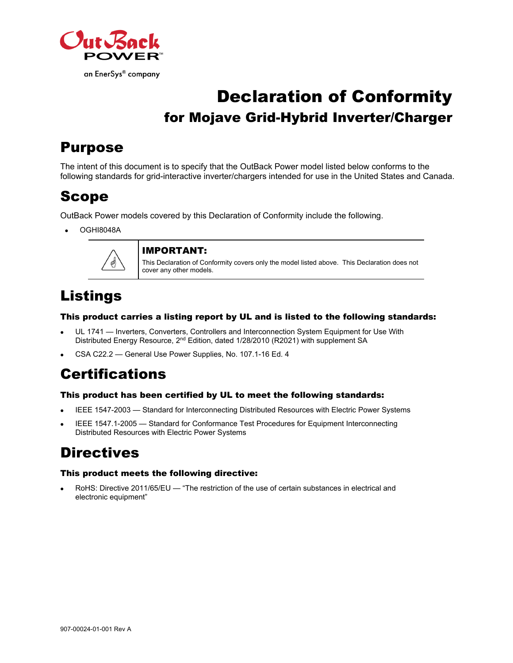

# Declaration of Conformity for Mojave Grid-Hybrid Inverter/Charger

## Purpose

The intent of this document is to specify that the OutBack Power model listed below conforms to the following standards for grid-interactive inverter/chargers intended for use in the United States and Canada.

## Scope

OutBack Power models covered by this Declaration of Conformity include the following.

OGHI8048A



#### IMPORTANT:

This Declaration of Conformity covers only the model listed above. This Declaration does not cover any other models.

## Listings

#### This product carries a listing report by UL and is listed to the following standards:

- UL 1741 Inverters, Converters, Controllers and Interconnection System Equipment for Use With Distributed Energy Resource, 2<sup>nd</sup> Edition, dated 1/28/2010 (R2021) with supplement SA
- CSA C22.2 General Use Power Supplies, No. 107.1-16 Ed. 4

## **Certifications**

#### This product has been certified by UL to meet the following standards:

- IEEE 1547-2003 Standard for Interconnecting Distributed Resources with Electric Power Systems
- IEEE 1547.1-2005 Standard for Conformance Test Procedures for Equipment Interconnecting Distributed Resources with Electric Power Systems

## **Directives**

#### This product meets the following directive:

 RoHS: Directive 2011/65/EU — "The restriction of the use of certain substances in electrical and electronic equipment"